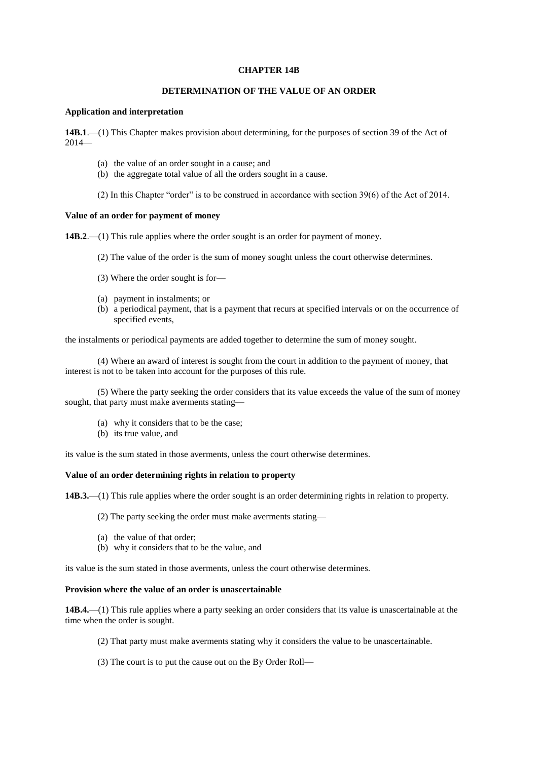## **CHAPTER 14B**

## **DETERMINATION OF THE VALUE OF AN ORDER**

#### **Application and interpretation**

**14B.1**.—(1) This Chapter makes provision about determining, for the purposes of section 39 of the Act of 2014—

- (a) the value of an order sought in a cause; and
- (b) the aggregate total value of all the orders sought in a cause.
- (2) In this Chapter "order" is to be construed in accordance with section 39(6) of the Act of 2014.

## **Value of an order for payment of money**

**14B.2.**—(1) This rule applies where the order sought is an order for payment of money.

- (2) The value of the order is the sum of money sought unless the court otherwise determines.
- (3) Where the order sought is for—
- (a) payment in instalments; or
- (b) a periodical payment, that is a payment that recurs at specified intervals or on the occurrence of specified events,

the instalments or periodical payments are added together to determine the sum of money sought.

(4) Where an award of interest is sought from the court in addition to the payment of money, that interest is not to be taken into account for the purposes of this rule.

(5) Where the party seeking the order considers that its value exceeds the value of the sum of money sought, that party must make averments stating—

- (a) why it considers that to be the case;
- (b) its true value, and

its value is the sum stated in those averments, unless the court otherwise determines.

#### **Value of an order determining rights in relation to property**

**14B.3.**—(1) This rule applies where the order sought is an order determining rights in relation to property.

(2) The party seeking the order must make averments stating—

- (a) the value of that order;
- (b) why it considers that to be the value, and

its value is the sum stated in those averments, unless the court otherwise determines.

# **Provision where the value of an order is unascertainable**

**14B.4.**—(1) This rule applies where a party seeking an order considers that its value is unascertainable at the time when the order is sought.

- (2) That party must make averments stating why it considers the value to be unascertainable.
- (3) The court is to put the cause out on the By Order Roll—